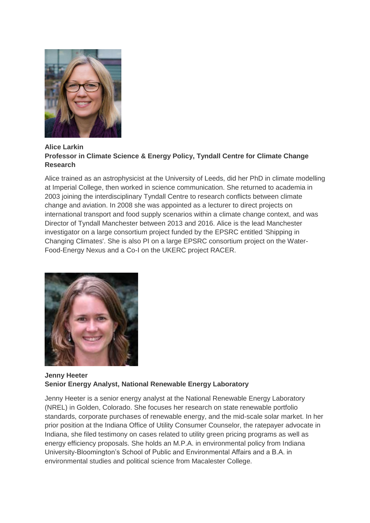

## **Alice Larkin Professor in Climate Science & Energy Policy, Tyndall Centre for Climate Change Research**

Alice trained as an astrophysicist at the University of Leeds, did her PhD in climate modelling at Imperial College, then worked in science communication. She returned to academia in 2003 joining the interdisciplinary Tyndall Centre to research conflicts between climate change and aviation. In 2008 she was appointed as a lecturer to direct projects on international transport and food supply scenarios within a climate change context, and was Director of Tyndall Manchester between 2013 and 2016. Alice is the lead Manchester investigator on a large consortium project funded by the EPSRC entitled 'Shipping in Changing Climates'. She is also PI on a large EPSRC consortium project on the Water-Food-Energy Nexus and a Co-I on the UKERC project RACER.



## **Jenny Heeter Senior Energy Analyst, National Renewable Energy Laboratory**

Jenny Heeter is a senior energy analyst at the National Renewable Energy Laboratory (NREL) in Golden, Colorado. She focuses her research on state renewable portfolio standards, corporate purchases of renewable energy, and the mid-scale solar market. In her prior position at the Indiana Office of Utility Consumer Counselor, the ratepayer advocate in Indiana, she filed testimony on cases related to utility green pricing programs as well as energy efficiency proposals. She holds an M.P.A. in environmental policy from Indiana University-Bloomington's School of Public and Environmental Affairs and a B.A. in environmental studies and political science from Macalester College.